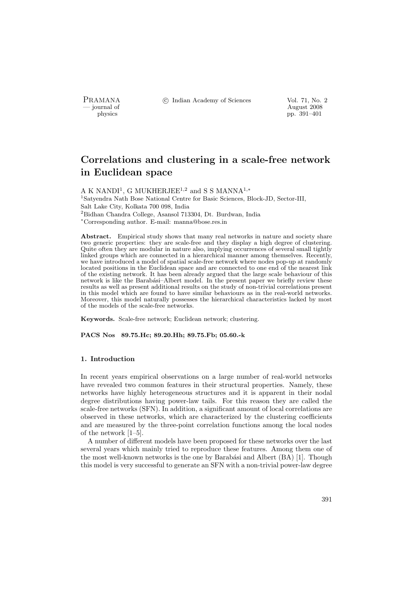PRAMANA °c Indian Academy of Sciences Vol. 71, No. 2

physics and the contract of the contract of the contract of the contract of the contract of the contract of the contract of the contract of the contract of the contract of the contract of the contract of the contract of th pp. 391–401

# Correlations and clustering in a scale-free network in Euclidean space

A K NANDI<sup>1</sup>, G MUKHERJEE<sup>1,2</sup> and S S MANNA<sup>1,\*</sup> <sup>1</sup>Satyendra Nath Bose National Centre for Basic Sciences, Block-JD, Sector-III, Salt Lake City, Kolkata 700 098, India <sup>2</sup>Bidhan Chandra College, Asansol 713304, Dt. Burdwan, India <sup>∗</sup>Corresponding author. E-mail: manna@bose.res.in

Abstract. Empirical study shows that many real networks in nature and society share two generic properties: they are scale-free and they display a high degree of clustering. Quite often they are modular in nature also, implying occurrences of several small tightly linked groups which are connected in a hierarchical manner among themselves. Recently, we have introduced a model of spatial scale-free network where nodes pop-up at randomly located positions in the Euclidean space and are connected to one end of the nearest link of the existing network. It has been already argued that the large scale behaviour of this network is like the Barabási–Albert model. In the present paper we briefly review these results as well as present additional results on the study of non-trivial correlations present in this model which are found to have similar behaviours as in the real-world networks. Moreover, this model naturally possesses the hierarchical characteristics lacked by most of the models of the scale-free networks.

Keywords. Scale-free network; Euclidean network; clustering.

PACS Nos 89.75.Hc; 89.20.Hh; 89.75.Fb; 05.60.-k

## 1. Introduction

In recent years empirical observations on a large number of real-world networks have revealed two common features in their structural properties. Namely, these networks have highly heterogeneous structures and it is apparent in their nodal degree distributions having power-law tails. For this reason they are called the scale-free networks (SFN). In addition, a significant amount of local correlations are observed in these networks, which are characterized by the clustering coefficients and are measured by the three-point correlation functions among the local nodes of the network [1–5].

A number of different models have been proposed for these networks over the last several years which mainly tried to reproduce these features. Among them one of the most well-known networks is the one by Barabási and Albert (BA) [1]. Though this model is very successful to generate an SFN with a non-trivial power-law degree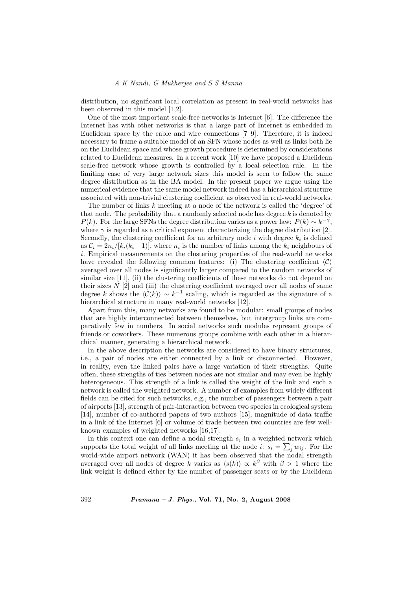#### A K Nandi, G Mukherjee and S S Manna

distribution, no significant local correlation as present in real-world networks has been observed in this model [1,2].

One of the most important scale-free networks is Internet [6]. The difference the Internet has with other networks is that a large part of Internet is embedded in Euclidean space by the cable and wire connections [7–9]. Therefore, it is indeed necessary to frame a suitable model of an SFN whose nodes as well as links both lie on the Euclidean space and whose growth procedure is determined by considerations related to Euclidean measures. In a recent work [10] we have proposed a Euclidean scale-free network whose growth is controlled by a local selection rule. In the limiting case of very large network sizes this model is seen to follow the same degree distribution as in the BA model. In the present paper we argue using the numerical evidence that the same model network indeed has a hierarchical structure associated with non-trivial clustering coefficient as observed in real-world networks.

The number of links k meeting at a node of the network is called the 'degree' of that node. The probability that a randomly selected node has degree  $k$  is denoted by  $P(k)$ . For the large SFNs the degree distribution varies as a power law:  $P(k) \sim k^{-\gamma}$ , where  $\gamma$  is regarded as a critical exponent characterizing the degree distribution [2]. Secondly, the clustering coefficient for an arbitrary node  $i$  with degree  $k_i$  is defined as  $C_i = 2n_i/[k_i(k_i-1)]$ , where  $n_i$  is the number of links among the  $k_i$  neighbours of i. Empirical measurements on the clustering properties of the real-world networks have revealed the following common features: (i) The clustering coefficient  $\langle C \rangle$ averaged over all nodes is significantly larger compared to the random networks of similar size [11], (ii) the clustering coefficients of these networks do not depend on their sizes  $N$  [2] and (iii) the clustering coefficient averaged over all nodes of same degree k shows the  $\langle \mathcal{C}(k) \rangle \sim k^{-1}$  scaling, which is regarded as the signature of a hierarchical structure in many real-world networks [12].

Apart from this, many networks are found to be modular: small groups of nodes that are highly interconnected between themselves, but intergroup links are comparatively few in numbers. In social networks such modules represent groups of friends or coworkers. These numerous groups combine with each other in a hierarchical manner, generating a hierarchical network.

In the above description the networks are considered to have binary structures, i.e., a pair of nodes are either connected by a link or disconnected. However, in reality, even the linked pairs have a large variation of their strengths. Quite often, these strengths of ties between nodes are not similar and may even be highly heterogeneous. This strength of a link is called the weight of the link and such a network is called the weighted network. A number of examples from widely different fields can be cited for such networks, e.g., the number of passengers between a pair of airports [13], strength of pair-interaction between two species in ecological system [14], number of co-authored papers of two authors [15], magnitude of data traffic in a link of the Internet [6] or volume of trade between two countries are few wellknown examples of weighted networks [16,17].

In this context one can define a nodal strength  $s_i$  in a weighted network which supports the total weight of all links meeting at the node *i*:  $s_i = \sum_j w_{ij}$ . For the world-wide airport network (WAN) it has been observed that the nodal strength averaged over all nodes of degree k varies as  $\langle s(k) \rangle \propto k^{\beta}$  with  $\beta > 1$  where the link weight is defined either by the number of passenger seats or by the Euclidean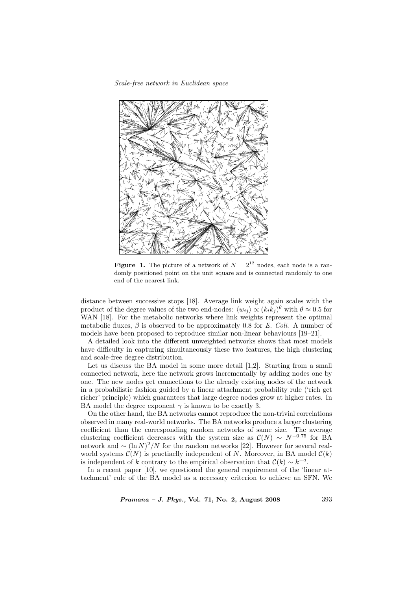

**Figure 1.** The picture of a network of  $N = 2^{12}$  nodes, each node is a randomly positioned point on the unit square and is connected randomly to one end of the nearest link.

distance between successive stops [18]. Average link weight again scales with the product of the degree values of the two end-nodes:  $\langle w_{ij} \rangle \propto (k_i k_j)^{\theta}$  with  $\theta \approx 0.5$  for WAN [18]. For the metabolic networks where link weights represent the optimal metabolic fluxes,  $\beta$  is observed to be approximately 0.8 for E. Coli. A number of models have been proposed to reproduce similar non-linear behaviours [19–21].

A detailed look into the different unweighted networks shows that most models have difficulty in capturing simultaneously these two features, the high clustering and scale-free degree distribution.

Let us discuss the BA model in some more detail [1,2]. Starting from a small connected network, here the network grows incrementally by adding nodes one by one. The new nodes get connections to the already existing nodes of the network in a probabilistic fashion guided by a linear attachment probability rule ('rich get richer' principle) which guarantees that large degree nodes grow at higher rates. In BA model the degree exponent  $\gamma$  is known to be exactly 3.

On the other hand, the BA networks cannot reproduce the non-trivial correlations observed in many real-world networks. The BA networks produce a larger clustering coefficient than the corresponding random networks of same size. The average clustering coefficient decreases with the system size as  $\mathcal{C}(N) \sim N^{-0.75}$  for BA network and  $\sim (\ln N)^2/N$  for the random networks [22]. However for several realworld systems  $\mathcal{C}(N)$  is practiaclly independent of N. Moreover, in BA model  $\mathcal{C}(k)$ is independent of k contrary to the empirical observation that  $\mathcal{C}(k) \sim k^{-a}$ .

In a recent paper [10], we questioned the general requirement of the 'linear attachment' rule of the BA model as a necessary criterion to achieve an SFN. We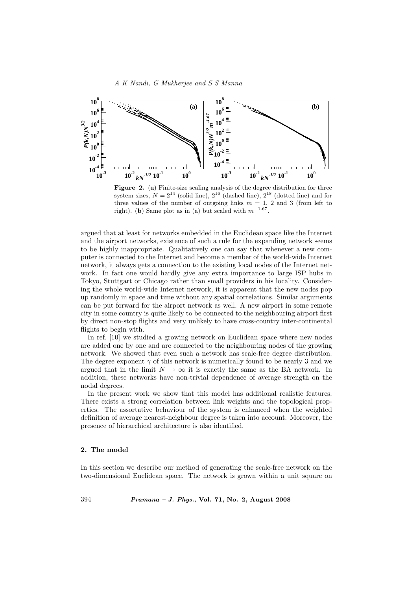

Figure 2. (a) Finite-size scaling analysis of the degree distribution for three system sizes,  $N = 2^{14}$  (solid line),  $2^{16}$  (dashed line),  $2^{18}$  (dotted line) and for three values of the number of outgoing links  $m = 1, 2$  and 3 (from left to right). (b) Same plot as in (a) but scaled with  $m^{-1.67}$ .

argued that at least for networks embedded in the Euclidean space like the Internet and the airport networks, existence of such a rule for the expanding network seems to be highly inappropriate. Qualitatively one can say that whenever a new computer is connected to the Internet and become a member of the world-wide Internet network, it always gets a connection to the existing local nodes of the Internet network. In fact one would hardly give any extra importance to large ISP hubs in Tokyo, Stuttgart or Chicago rather than small providers in his locality. Considering the whole world-wide Internet network, it is apparent that the new nodes pop up randomly in space and time without any spatial correlations. Similar arguments can be put forward for the airport network as well. A new airport in some remote city in some country is quite likely to be connected to the neighbouring airport first by direct non-stop flights and very unlikely to have cross-country inter-continental flights to begin with.

In ref. [10] we studied a growing network on Euclidean space where new nodes are added one by one and are connected to the neighbouring nodes of the growing network. We showed that even such a network has scale-free degree distribution. The degree exponent  $\gamma$  of this network is numerically found to be nearly 3 and we argued that in the limit  $N \to \infty$  it is exactly the same as the BA network. In addition, these networks have non-trivial dependence of average strength on the nodal degrees.

In the present work we show that this model has additional realistic features. There exists a strong correlation between link weights and the topological properties. The assortative behaviour of the system is enhanced when the weighted definition of average nearest-neighbour degree is taken into account. Moreover, the presence of hierarchical architecture is also identified.

#### 2. The model

In this section we describe our method of generating the scale-free network on the two-dimensional Euclidean space. The network is grown within a unit square on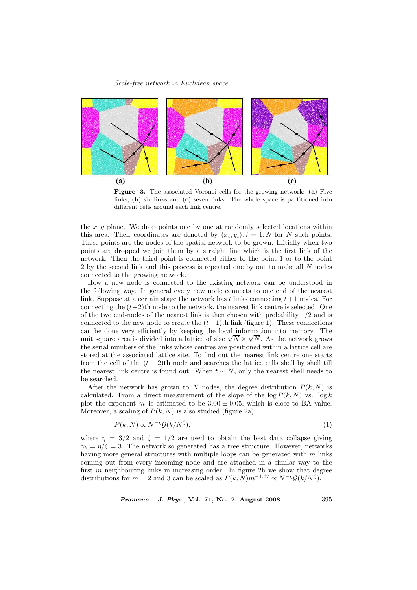

Figure 3. The associated Voronoi cells for the growing network: (a) Five links, (b) six links and (c) seven links. The whole space is partitioned into different cells around each link centre.

the  $x-y$  plane. We drop points one by one at randomly selected locations within this area. Their coordinates are denoted by  $\{x_i, y_i\}, i = 1, N$  for N such points. These points are the nodes of the spatial network to be grown. Initially when two points are dropped we join them by a straight line which is the first link of the network. Then the third point is connected either to the point 1 or to the point 2 by the second link and this process is repeated one by one to make all N nodes connected to the growing network.

How a new node is connected to the existing network can be understood in the following way. In general every new node connects to one end of the nearest link. Suppose at a certain stage the network has t links connecting  $t+1$  nodes. For connecting the  $(t+2)$ th node to the network, the nearest link centre is selected. One of the two end-nodes of the nearest link is then chosen with probability 1/2 and is connected to the new node to create the  $(t+1)$ th link (figure 1). These connections can be done very efficiently by keeping the local information into memory. The can be done very efficiently by keeping the local information into memory. The unit square area is divided into a lattice of size  $\sqrt{N} \times \sqrt{N}$ . As the network grows the serial numbers of the links whose centres are positioned within a lattice cell are stored at the associated lattice site. To find out the nearest link centre one starts from the cell of the  $(t + 2)$ th node and searches the lattice cells shell by shell till the nearest link centre is found out. When  $t \sim N$ , only the nearest shell needs to be searched.

After the network has grown to N nodes, the degree distribution  $P(k, N)$  is calculated. From a direct measurement of the slope of the  $\log P(k, N)$  vs.  $\log k$ plot the exponent  $\gamma_k$  is estimated to be 3.00  $\pm$  0.05, which is close to BA value. Moreover, a scaling of  $P(k, N)$  is also studied (figure 2a):

$$
P(k, N) \propto N^{-\eta} \mathcal{G}(k/N^{\zeta}),\tag{1}
$$

where  $\eta = 3/2$  and  $\zeta = 1/2$  are used to obtain the best data collapse giving  $\gamma_k = \eta/\zeta = 3$ . The network so generated has a tree structure. However, networks having more general structures with multiple loops can be generated with m links coming out from every incoming node and are attached in a similar way to the first  $m$  neighbouring links in increasing order. In figure 2b we show that degree distributions for  $m = 2$  and 3 can be scaled as  $P(k, N) m^{-1.67} \propto N^{-\eta} \mathcal{G}(k/N^{\zeta}).$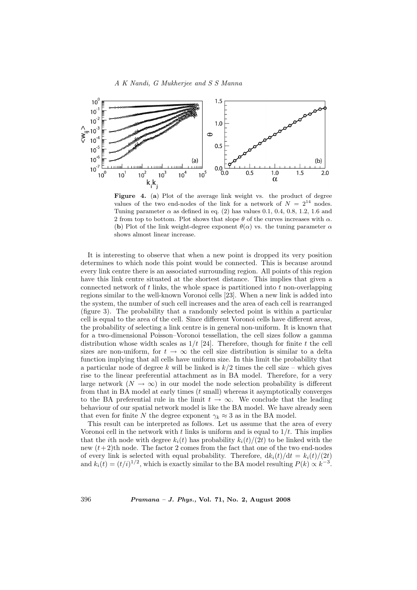

Figure 4. (a) Plot of the average link weight vs. the product of degree values of the two end-nodes of the link for a network of  $N = 2^{14}$  nodes. Tuning parameter  $\alpha$  as defined in eq. (2) has values 0.1, 0.4, 0.8, 1.2, 1.6 and 2 from top to bottom. Plot shows that slope  $\theta$  of the curves increases with  $\alpha$ . (b) Plot of the link weight-degree exponent  $\theta(\alpha)$  vs. the tuning parameter  $\alpha$ shows almost linear increase.

It is interesting to observe that when a new point is dropped its very position determines to which node this point would be connected. This is because around every link centre there is an associated surrounding region. All points of this region have this link centre situated at the shortest distance. This implies that given a connected network of  $t$  links, the whole space is partitioned into  $t$  non-overlapping regions similar to the well-known Voronoi cells [23]. When a new link is added into the system, the number of such cell increases and the area of each cell is rearranged (figure 3). The probability that a randomly selected point is within a particular cell is equal to the area of the cell. Since different Voronoi cells have different areas, the probability of selecting a link centre is in general non-uniform. It is known that for a two-dimensional Poisson–Voronoi tessellation, the cell sizes follow a gamma distribution whose width scales as  $1/t$  [24]. Therefore, though for finite t the cell sizes are non-uniform, for  $t \to \infty$  the cell size distribution is similar to a delta function implying that all cells have uniform size. In this limit the probability that a particular node of degree k will be linked is  $k/2$  times the cell size – which gives rise to the linear preferential attachment as in BA model. Therefore, for a very large network ( $N \to \infty$ ) in our model the node selection probability is different from that in BA model at early times  $(t \text{ small})$  whereas it asymptotically converges to the BA preferential rule in the limit  $t \to \infty$ . We conclude that the leading behaviour of our spatial network model is like the BA model. We have already seen that even for finite N the degree exponent  $\gamma_k \approx 3$  as in the BA model.

This result can be interpreted as follows. Let us assume that the area of every Voronoi cell in the network with t links is uniform and is equal to  $1/t$ . This implies that the *i*th node with degree  $k_i(t)$  has probability  $k_i(t)/(2t)$  to be linked with the new  $(t+2)$ th node. The factor 2 comes from the fact that one of the two end-nodes of every link is selected with equal probability. Therefore,  $dk_i(t)/dt = k_i(t)/(2t)$ and  $k_i(t) = (t/i)^{1/2}$ , which is exactly similar to the BA model resulting  $P(k) \propto k^{-3}$ .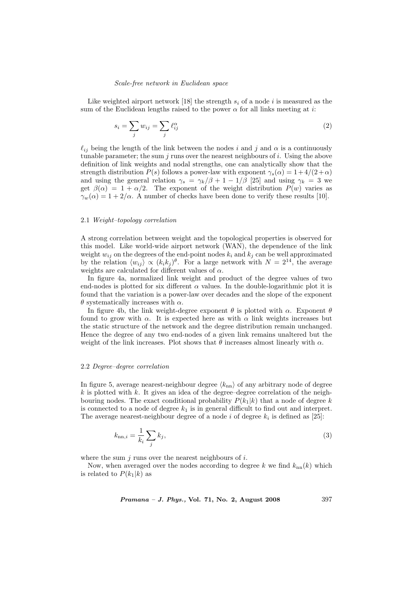Like weighted airport network [18] the strength  $s_i$  of a node i is measured as the sum of the Euclidean lengths raised to the power  $\alpha$  for all links meeting at i:

$$
s_i = \sum_j w_{ij} = \sum_j \ell_{ij}^{\alpha} \tag{2}
$$

 $\ell_{ij}$  being the length of the link between the nodes i and j and  $\alpha$  is a continuously tunable parameter; the sum  $j$  runs over the nearest neighbours of  $i$ . Using the above definition of link weights and nodal strengths, one can analytically show that the strength distribution  $P(s)$  follows a power-law with exponent  $\gamma_s(\alpha) = 1 + 4/(2+\alpha)$ and using the general relation  $\gamma_s = \gamma_k/\beta + 1 - 1/\beta$  [25] and using  $\gamma_k = 3$  we get  $\beta(\alpha) = 1 + \alpha/2$ . The exponent of the weight distribution  $P(w)$  varies as  $\gamma_w(\alpha) = 1 + 2/\alpha$ . A number of checks have been done to verify these results [10].

## 2.1 Weight–topology correlation

A strong correlation between weight and the topological properties is observed for this model. Like world-wide airport network (WAN), the dependence of the link weight  $w_{ij}$  on the degrees of the end-point nodes  $k_i$  and  $k_j$  can be well approximated by the relation  $\langle w_{ij} \rangle \propto (k_i k_j)^{\theta}$ . For a large network with  $N = 2^{14}$ , the average weights are calculated for different values of  $\alpha$ .

In figure 4a, normalized link weight and product of the degree values of two end-nodes is plotted for six different  $\alpha$  values. In the double-logarithmic plot it is found that the variation is a power-law over decades and the slope of the exponent  $θ$  systematically increases with  $α$ .

In figure 4b, the link weight-degree exponent  $\theta$  is plotted with  $\alpha$ . Exponent  $\theta$ found to grow with  $\alpha$ . It is expected here as with  $\alpha$  link weights increases but the static structure of the network and the degree distribution remain unchanged. Hence the degree of any two end-nodes of a given link remains unaltered but the weight of the link increases. Plot shows that  $\theta$  increases almost linearly with  $\alpha$ .

#### 2.2 Degree–degree correlation

In figure 5, average nearest-neighbour degree  $\langle k_{nn} \rangle$  of any arbitrary node of degree  $k$  is plotted with k. It gives an idea of the degree–degree correlation of the neighbouring nodes. The exact conditional probability  $P(k_1|k)$  that a node of degree k is connected to a node of degree  $k_1$  is in general difficult to find out and interpret. The average nearest-neighbour degree of a node i of degree  $k_i$  is defined as [25]:

$$
k_{\mathrm{nn},i} = \frac{1}{k_i} \sum_j k_j,\tag{3}
$$

where the sum  $i$  runs over the nearest neighbours of  $i$ .

Now, when averaged over the nodes according to degree k we find  $k_{nn}(k)$  which is related to  $P(k_1|k)$  as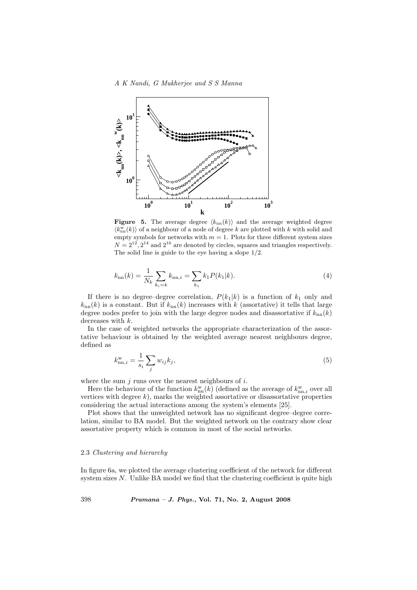

**Figure 5.** The average degree  $\langle k_{nn}(k) \rangle$  and the average weighted degree  $\langle k_{\rm nn}^{\rm w}(k)\rangle$  of a neighbour of a node of degree k are plotted with k with solid and empty symbols for networks with  $m = 1$ . Plots for three different system sizes  $N = 2^{12}, 2^{14}$  and  $2^{16}$  are denoted by circles, squares and triangles respectively. The solid line is guide to the eye having a slope 1/2.

$$
k_{\rm nn}(k) = \frac{1}{N_k} \sum_{k_i=k} k_{\rm nn,i} = \sum_{k_1} k_1 P(k_1|k). \tag{4}
$$

If there is no degree–degree correlation,  $P(k_1|k)$  is a function of  $k_1$  only and  $k_{nn}(k)$  is a constant. But if  $k_{nn}(k)$  increases with k (assortative) it tells that large degree nodes prefer to join with the large degree nodes and disassortative if  $k_{nn}(k)$ decreases with  $k$ .

In the case of weighted networks the appropriate characterization of the assortative behaviour is obtained by the weighted average nearest neighbours degree, defined as

$$
k_{\text{nn},i}^{\text{w}} = \frac{1}{s_i} \sum_{j} w_{ij} k_j,\tag{5}
$$

where the sum  $j$  runs over the nearest neighbours of  $i$ .

Here the behaviour of the function  $k_{nn}^{\text{w}}(k)$  (defined as the average of  $k_{nn,i}^{\text{w}}$  over all vertices with degree  $k$ ), marks the weighted assortative or disassortative properties considering the actual interactions among the system's elements [25].

Plot shows that the unweighted network has no significant degree–degree correlation, similar to BA model. But the weighted network on the contrary show clear assortative property which is common in most of the social networks.

#### 2.3 Clustering and hierarchy

In figure 6a, we plotted the average clustering coefficient of the network for different system sizes  $N$ . Unlike BA model we find that the clustering coefficient is quite high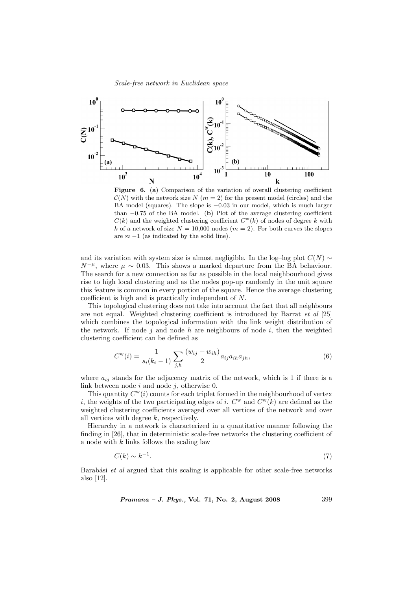

Figure 6. (a) Comparison of the variation of overall clustering coefficient  $\mathcal{C}(N)$  with the network size N  $(m=2)$  for the present model (circles) and the BA model (squares). The slope is −0.03 in our model, which is much larger than  $-0.75$  of the BA model. (b) Plot of the average clustering coefficient  $C(k)$  and the weighted clustering coefficient  $C<sup>w</sup>(k)$  of nodes of degree k with k of a network of size  $N = 10,000$  nodes  $(m = 2)$ . For both curves the slopes are  $\approx -1$  (as indicated by the solid line).

and its variation with system size is almost negligible. In the log–log plot  $C(N) \sim$  $N^{-\mu}$ , where  $\mu \sim 0.03$ . This shows a marked departure from the BA behaviour. The search for a new connection as far as possible in the local neighbourhood gives rise to high local clustering and as the nodes pop-up randomly in the unit square this feature is common in every portion of the square. Hence the average clustering coefficient is high and is practically independent of N.

This topological clustering does not take into account the fact that all neighbours are not equal. Weighted clustering coefficient is introduced by Barrat et al [25] which combines the topological information with the link weight distribution of the network. If node j and node h are neighbours of node i, then the weighted clustering coefficient can be defined as

$$
C^{w}(i) = \frac{1}{s_i(k_i - 1)} \sum_{j,h} \frac{(w_{ij} + w_{ih})}{2} a_{ij} a_{ih} a_{jh},
$$
\n(6)

where  $a_{ij}$  stands for the adjacency matrix of the network, which is 1 if there is a link between node  $i$  and node  $j$ , otherwise 0.

This quantity  $C^{w}(i)$  counts for each triplet formed in the neighbourhood of vertex i, the weights of the two participating edges of i.  $C^{\mathbf{w}}$  and  $C^{\mathbf{w}}(k)$  are defined as the weighted clustering coefficients averaged over all vertices of the network and over all vertices with degree k, respectively.

Hierarchy in a network is characterized in a quantitative manner following the finding in [26], that in deterministic scale-free networks the clustering coefficient of a node with  $k$  links follows the scaling law

$$
C(k) \sim k^{-1}.\tag{7}
$$

Barabási et al argued that this scaling is applicable for other scale-free networks also [12].

Pramana – J. Phys., Vol. 71, No. 2, August 2008 399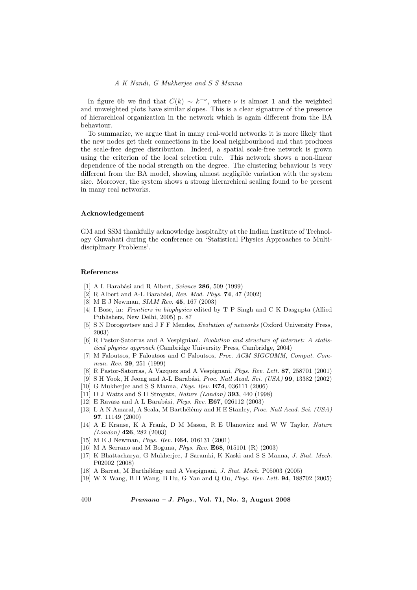## A K Nandi, G Mukherjee and S S Manna

In figure 6b we find that  $C(k) \sim k^{-\nu}$ , where  $\nu$  is almost 1 and the weighted and unweighted plots have similar slopes. This is a clear signature of the presence of hierarchical organization in the network which is again different from the BA behaviour.

To summarize, we argue that in many real-world networks it is more likely that the new nodes get their connections in the local neighbourhood and that produces the scale-free degree distribution. Indeed, a spatial scale-free network is grown using the criterion of the local selection rule. This network shows a non-linear dependence of the nodal strength on the degree. The clustering behaviour is very different from the BA model, showing almost negligible variation with the system size. Moreover, the system shows a strong hierarchical scaling found to be present in many real networks.

#### Acknowledgement

GM and SSM thankfully acknowledge hospitality at the Indian Institute of Technology Guwahati during the conference on 'Statistical Physics Approaches to Multidisciplinary Problems'.

## References

- [1] A L Barabási and R Albert, Science  $286$ , 509 (1999)
- [2] R Albert and A-L Barabási, Rev. Mod. Phys.  $74$ , 47 (2002)
- [3] M E J Newman, SIAM Rev. 45, 167 (2003)
- [4] I Bose, in: Frontiers in biophysics edited by T P Singh and C K Dasgupta (Allied Publishers, New Delhi, 2005) p. 87
- [5] S N Dorogovtsev and J F F Mendes, Evolution of networks (Oxford University Press, 2003)
- [6] R Pastor-Satorras and A Vespigniani, Evolution and structure of internet: A statistical physics approach (Cambridge University Press, Cambridge, 2004)
- [7] M Faloutsos, P Faloutsos and C Faloutsos, Proc. ACM SIGCOMM, Comput. Commun. Rev. 29, 251 (1999)
- [8] R Pastor-Satorras, A Vazquez and A Vespignani, Phys. Rev. Lett. 87, 258701 (2001)
- [9] S H Yook, H Jeong and A-L Barabási, Proc. Natl Acad. Sci. (USA)  $99$ , 13382 (2002)
- [10] G Mukherjee and S S Manna, Phys. Rev. E74, 036111 (2006)
- [11] D J Watts and S H Strogatz, Nature (London) 393, 440 (1998)
- [12] E Ravasz and A L Barabási, *Phys. Rev.* E67, 026112 (2003)
- [13] L A N Amaral, A Scala, M Barthélémy and H E Stanley, Proc. Natl Acad. Sci. (USA) 97, 11149 (2000)
- [14] A E Krause, K A Frank, D M Mason, R E Ulanowicz and W W Taylor, Nature (London) 426, 282 (2003)
- [15] M E J Newman, Phys. Rev. E64, 016131 (2001)
- [16] M A Serrano and M Boguna, Phys. Rev. E68, 015101 (R) (2003)
- [17] K Bhattacharya, G Mukherjee, J Saramki, K Kaski and S S Manna, J. Stat. Mech. P02002 (2008)
- [18] A Barrat, M Barthélémy and A Vespignani, J. Stat. Mech. P05003 (2005)
- [19] W X Wang, B H Wang, B Hu, G Yan and Q Ou, Phys. Rev. Lett. 94, 188702 (2005)